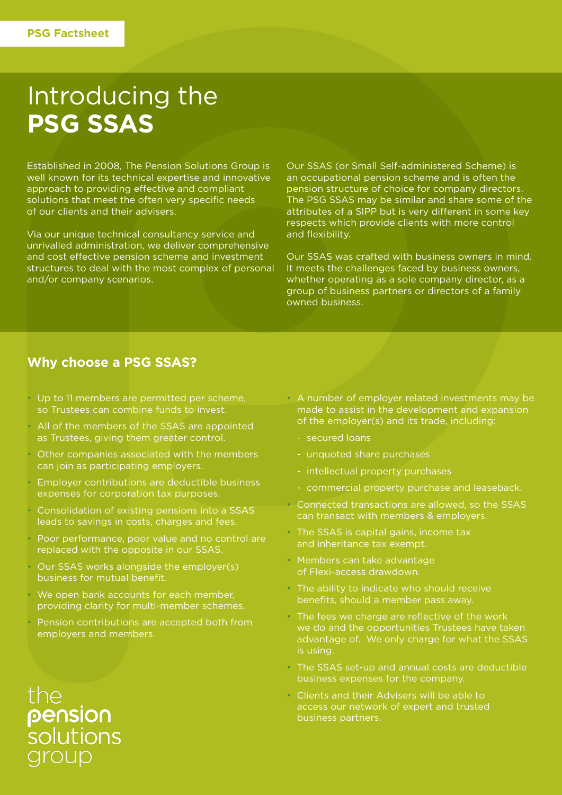## Introducing the **PSG SSAS**

Established in 2008, The Pension Solutions Group is well known for its technical expertise and innovative approach to providing effective and compliant solutions that meet the often very specific needs of our clients and their advisers.

Via our unique technical consultancy service and unrivalled administration, we deliver comprehensive and cost effective pension scheme and investment structures to deal with the most complex of personal and/or company scenarios.

Our SSAS (or Small Self-administered Scheme) is an occupational pension scheme and is often the pension structure of choice for company directors. The PSG SSAS may be similar and share some of the attributes of a SIPP but is very different in some key respects which provide clients with more control and flexibility.

Our SSAS was crafted with business owners in mind. It meets the challenges faced by business owners, whether operating as a sole company director, as a group of business partners or directors of a family owned business.

#### **Why choose a PSG SSAS?**

- Up to 11 members are permitted per scheme, so Trustees can combine funds to invest.
- All of the members of the SSAS are appointed as Trustees, giving them greater control.
- Other companies associated with the members can join as participating employers.
- Employer contributions are deductible business expenses for corporation tax purposes.
- Consolidation of existing pensions into a SSAS leads to savings in costs, charges and fees.
- Poor performance, poor value and no control are replaced with the opposite in our SSAS.
- Our SSAS works alongside the employer(s) business for mutual benefit.
- We open bank accounts for each member, providing clarity for multi-member schemes.
- Pension contributions are accepted both from employers and members.

the pension<br>solutions iroup

- A number of employer related investments may be made to assist in the development and expansion of the employer(s) and its trade, including:
	- secured loans
	- unquoted share purchases
	- intellectual property purchases
	- commercial property purchase and leaseback.
- Connected transactions are allowed, so the SSAS can transact with members & employers.
- The SSAS is capital gains, income tax and inheritance tax exempt.
- Members can take advantage of Flexi-access drawdown.
- The ability to indicate who should receive benefits, should a member pass away.
- The fees we charge are reflective of the work we do and the opportunities Trustees have taken advantage of. We only charge for what the SSAS is using.
- The SSAS set-up and annual costs are deductible business expenses for the company.
- Clients and their Advisers will be able to access our network of expert and trusted business partners.